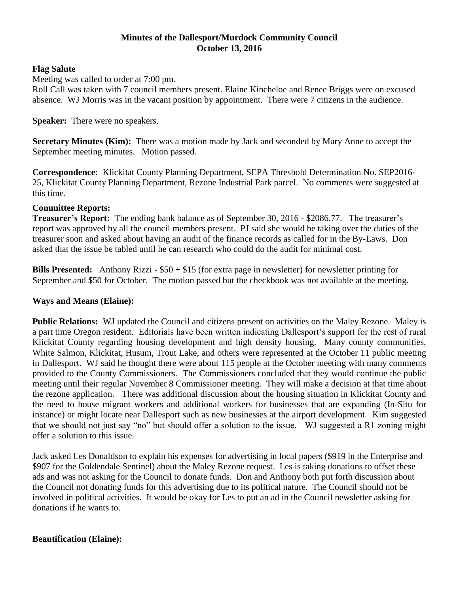## **Minutes of the Dallesport/Murdock Community Council October 13, 2016**

## **Flag Salute**

Meeting was called to order at 7:00 pm.

Roll Call was taken with 7 council members present. Elaine Kincheloe and Renee Briggs were on excused absence. WJ Morris was in the vacant position by appointment. There were 7 citizens in the audience.

#### **Speaker:** There were no speakers.

**Secretary Minutes (Kim):** There was a motion made by Jack and seconded by Mary Anne to accept the September meeting minutes. Motion passed.

**Correspondence:** Klickitat County Planning Department, SEPA Threshold Determination No. SEP2016- 25, Klickitat County Planning Department, Rezone Industrial Park parcel. No comments were suggested at this time.

## **Committee Reports:**

**Treasurer's Report:** The ending bank balance as of September 30, 2016 - \$2086.77. The treasurer's report was approved by all the council members present. PJ said she would be taking over the duties of the treasurer soon and asked about having an audit of the finance records as called for in the By-Laws. Don asked that the issue be tabled until he can research who could do the audit for minimal cost.

**Bills Presented:** Anthony Rizzi - \$50 + \$15 (for extra page in newsletter) for newsletter printing for September and \$50 for October. The motion passed but the checkbook was not available at the meeting.

## **Ways and Means (Elaine):**

**Public Relations:** WJ updated the Council and citizens present on activities on the Maley Rezone. Maley is a part time Oregon resident. Editorials have been written indicating Dallesport's support for the rest of rural Klickitat County regarding housing development and high density housing. Many county communities, White Salmon, Klickitat, Husum, Trout Lake, and others were represented at the October 11 public meeting in Dallesport. WJ said he thought there were about 115 people at the October meeting with many comments provided to the County Commissioners. The Commissioners concluded that they would continue the public meeting until their regular November 8 Commissioner meeting. They will make a decision at that time about the rezone application. There was additional discussion about the housing situation in Klickitat County and the need to house migrant workers and additional workers for businesses that are expanding (In-Situ for instance) or might locate near Dallesport such as new businesses at the airport development. Kim suggested that we should not just say "no" but should offer a solution to the issue. WJ suggested a R1 zoning might offer a solution to this issue.

Jack asked Les Donaldson to explain his expenses for advertising in local papers (\$919 in the Enterprise and \$907 for the Goldendale Sentinel) about the Maley Rezone request. Les is taking donations to offset these ads and was not asking for the Council to donate funds. Don and Anthony both put forth discussion about the Council not donating funds for this advertising due to its political nature. The Council should not be involved in political activities. It would be okay for Les to put an ad in the Council newsletter asking for donations if he wants to.

# **Beautification (Elaine):**